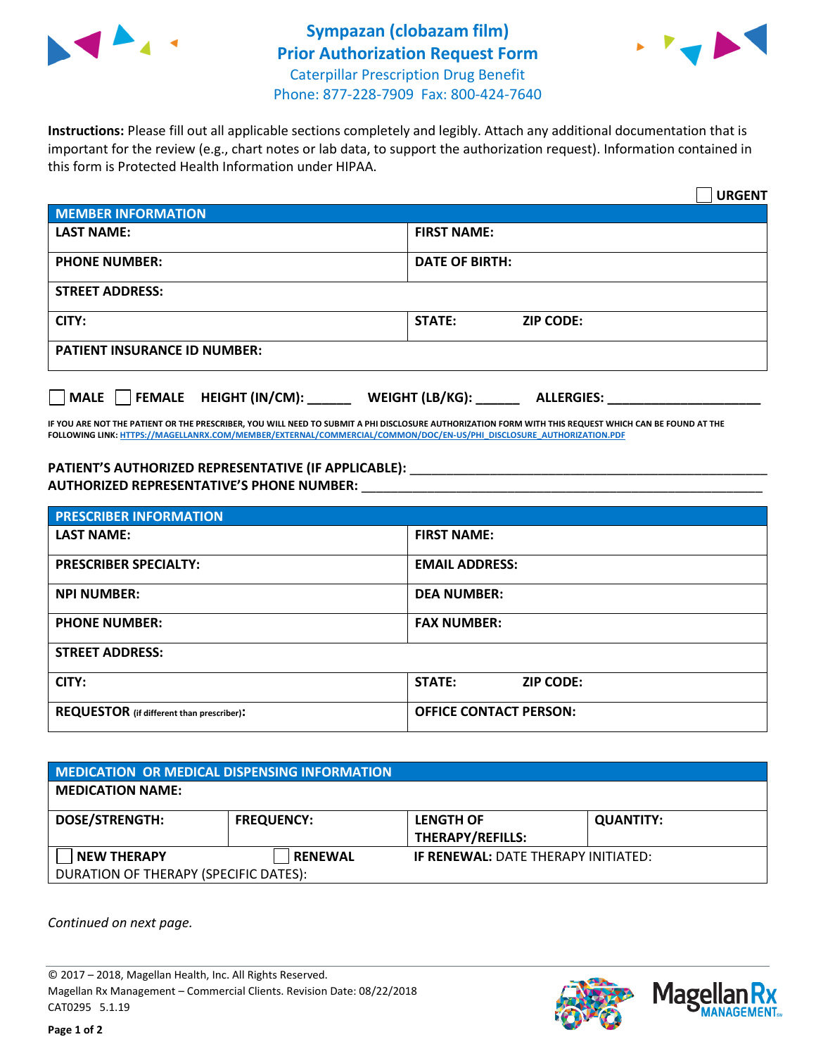



**Instructions:** Please fill out all applicable sections completely and legibly. Attach any additional documentation that is important for the review (e.g., chart notes or lab data, to support the authorization request). Information contained in this form is Protected Health Information under HIPAA.

|                                       | <b>URGENT</b>                          |  |  |  |
|---------------------------------------|----------------------------------------|--|--|--|
| <b>MEMBER INFORMATION</b>             |                                        |  |  |  |
| <b>LAST NAME:</b>                     | <b>FIRST NAME:</b>                     |  |  |  |
| <b>PHONE NUMBER:</b>                  | <b>DATE OF BIRTH:</b>                  |  |  |  |
| <b>STREET ADDRESS:</b>                |                                        |  |  |  |
| CITY:                                 | <b>STATE:</b><br><b>ZIP CODE:</b>      |  |  |  |
| <b>PATIENT INSURANCE ID NUMBER:</b>   |                                        |  |  |  |
| FEMALE HEIGHT (IN/CM):<br><b>MALE</b> | WEIGHT (LB/KG): _<br><b>ALLERGIES:</b> |  |  |  |

**IF YOU ARE NOT THE PATIENT OR THE PRESCRIBER, YOU WILL NEED TO SUBMIT A PHI DISCLOSURE AUTHORIZATION FORM WITH THIS REQUEST WHICH CAN BE FOUND AT THE FOLLOWING LINK[: HTTPS://MAGELLANRX.COM/MEMBER/EXTERNAL/COMMERCIAL/COMMON/DOC/EN-US/PHI\\_DISCLOSURE\\_AUTHORIZATION.PDF](https://magellanrx.com/member/external/commercial/common/doc/en-us/PHI_Disclosure_Authorization.pdf)**

PATIENT'S AUTHORIZED REPRESENTATIVE (IF APPLICABLE): \_\_\_\_\_\_\_\_\_\_\_\_\_\_\_\_\_\_\_\_\_\_\_\_\_\_\_ **AUTHORIZED REPRESENTATIVE'S PHONE NUMBER:** \_\_\_\_\_\_\_\_\_\_\_\_\_\_\_\_\_\_\_\_\_\_\_\_\_\_\_\_\_\_\_\_\_\_\_\_\_\_\_\_\_\_\_\_\_\_\_\_\_\_\_\_\_\_\_

| <b>PRESCRIBER INFORMATION</b>             |                               |  |  |  |
|-------------------------------------------|-------------------------------|--|--|--|
| <b>LAST NAME:</b>                         | <b>FIRST NAME:</b>            |  |  |  |
| <b>PRESCRIBER SPECIALTY:</b>              | <b>EMAIL ADDRESS:</b>         |  |  |  |
| <b>NPI NUMBER:</b>                        | <b>DEA NUMBER:</b>            |  |  |  |
| <b>PHONE NUMBER:</b>                      | <b>FAX NUMBER:</b>            |  |  |  |
| <b>STREET ADDRESS:</b>                    |                               |  |  |  |
| CITY:                                     | STATE:<br><b>ZIP CODE:</b>    |  |  |  |
| REQUESTOR (if different than prescriber): | <b>OFFICE CONTACT PERSON:</b> |  |  |  |

| <b>MEDICATION OR MEDICAL DISPENSING INFORMATION</b> |                   |                                            |                  |  |  |
|-----------------------------------------------------|-------------------|--------------------------------------------|------------------|--|--|
| <b>MEDICATION NAME:</b>                             |                   |                                            |                  |  |  |
| <b>DOSE/STRENGTH:</b>                               | <b>FREQUENCY:</b> | <b>LENGTH OF</b>                           | <b>QUANTITY:</b> |  |  |
|                                                     |                   | <b>THERAPY/REFILLS:</b>                    |                  |  |  |
| <b>NEW THERAPY</b>                                  | <b>RENEWAL</b>    | <b>IF RENEWAL: DATE THERAPY INITIATED:</b> |                  |  |  |
| DURATION OF THERAPY (SPECIFIC DATES):               |                   |                                            |                  |  |  |

*Continued on next page.*

© 2017 – 2018, Magellan Health, Inc. All Rights Reserved. Magellan Rx Management – Commercial Clients. Revision Date: 08/22/2018 CAT0295 5.1.19